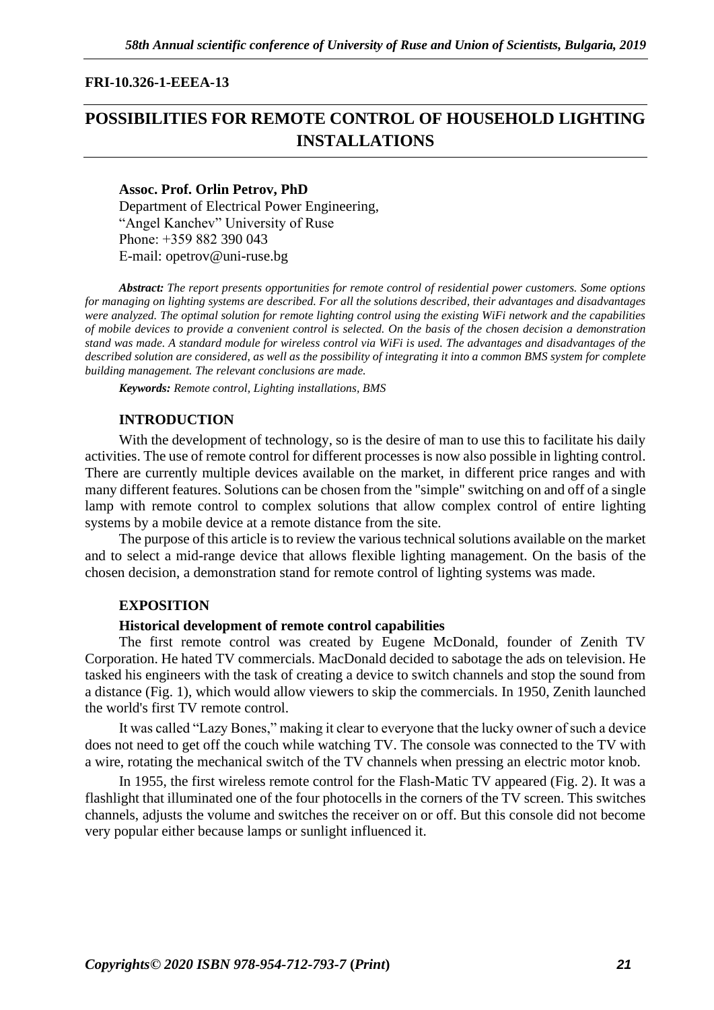# **FRI-10.326-1-EEEA-13**

# **POSSIBILITIES FOR REMOTE CONTROL OF HOUSEHOLD LIGHTING INSTALLATIONS**

#### **Assoc. Prof. Orlin Petrov, PhD**

Department of Electrical Power Engineering, "Angel Kanchev" University of Ruse Рhone: +359 882 390 043 Е-mail: opetro[v@uni-ruse.bg](mailto:tbuhcheva@uni-ruse.bg)

*Abstract: The report presents opportunities for remote control of residential power customers. Some options for managing on lighting systems are described. For all the solutions described, their advantages and disadvantages were analyzed. The optimal solution for remote lighting control using the existing WiFi network and the capabilities of mobile devices to provide a convenient control is selected. On the basis of the chosen decision a demonstration stand was made. A standard module for wireless control via WiFi is used. The advantages and disadvantages of the described solution are considered, as well as the possibility of integrating it into a common BMS system for complete building management. The relevant conclusions are made.*

*Keywords: Remote control, Lighting installations, BMS*

# **INTRODUCTION**

With the development of technology, so is the desire of man to use this to facilitate his daily activities. The use of remote control for different processes is now also possible in lighting control. There are currently multiple devices available on the market, in different price ranges and with many different features. Solutions can be chosen from the "simple" switching on and off of a single lamp with remote control to complex solutions that allow complex control of entire lighting systems by a mobile device at a remote distance from the site.

The purpose of this article is to review the various technical solutions available on the market and to select a mid-range device that allows flexible lighting management. On the basis of the chosen decision, a demonstration stand for remote control of lighting systems was made.

# **EXPOSITION**

#### **Historical development of remote control capabilities**

The first remote control was created by Eugene McDonald, founder of Zenith TV Corporation. He hated TV commercials. MacDonald decided to sabotage the ads on television. He tasked his engineers with the task of creating a device to switch channels and stop the sound from a distance (Fig. 1), which would allow viewers to skip the commercials. In 1950, Zenith launched the world's first TV remote control.

It was called "Lazy Bones," making it clear to everyone that the lucky owner of such a device does not need to get off the couch while watching TV. The console was connected to the TV with a wire, rotating the mechanical switch of the TV channels when pressing an electric motor knob.

In 1955, the first wireless remote control for the Flash-Matic TV appeared (Fig. 2). It was a flashlight that illuminated one of the four photocells in the corners of the TV screen. This switches channels, adjusts the volume and switches the receiver on or off. But this console did not become very popular either because lamps or sunlight influenced it.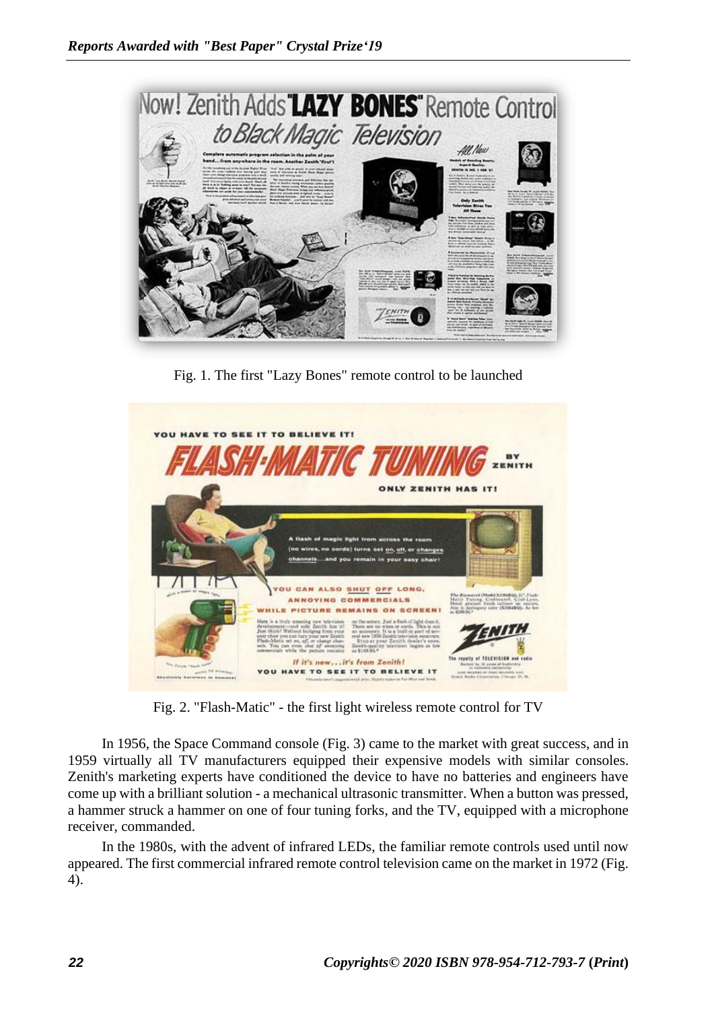

Fig. 1. The first "Lazy Bones" remote control to be launched



Fig. 2. "Flash-Matic" - the first light wireless remote control for TV

In 1956, the Space Command console (Fig. 3) came to the market with great success, and in 1959 virtually all TV manufacturers equipped their expensive models with similar consoles. Zenith's marketing experts have conditioned the device to have no batteries and engineers have come up with a brilliant solution - a mechanical ultrasonic transmitter. When a button was pressed, a hammer struck a hammer on one of four tuning forks, and the TV, equipped with a microphone receiver, commanded.

In the 1980s, with the advent of infrared LEDs, the familiar remote controls used until now appeared. The first commercial infrared remote control television came on the market in 1972 (Fig. 4).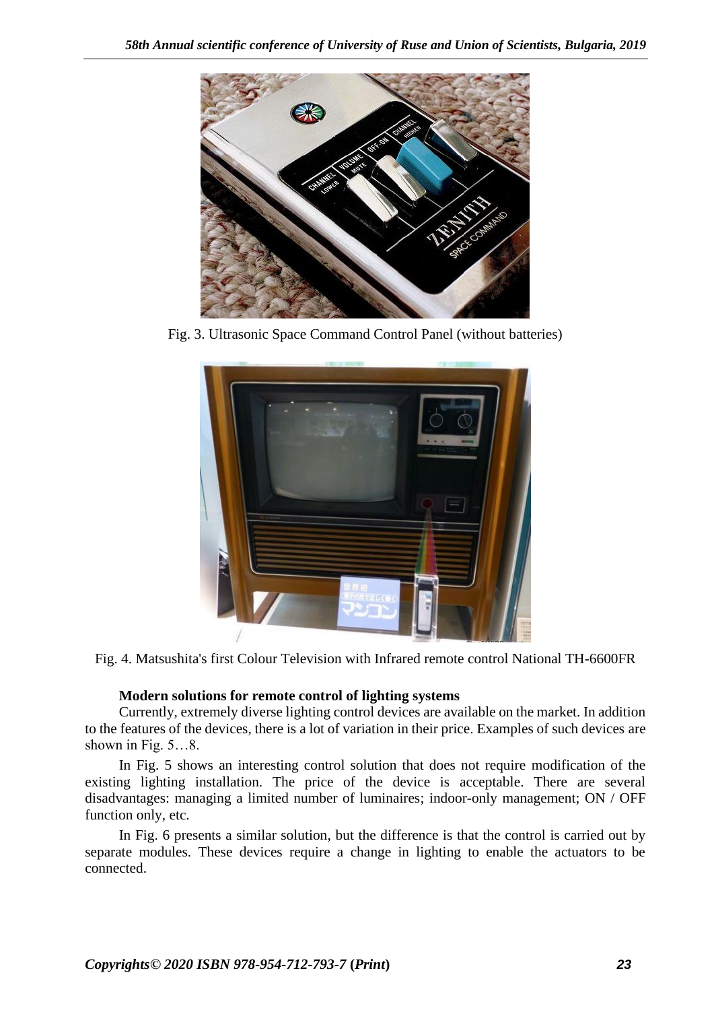

Fig. 3. Ultrasonic Space Command Control Panel (without batteries)



Fig. 4. Matsushita's first Colour Television with Infrared remote control National TH-6600FR

# **Modern solutions for remote control of lighting systems**

Currently, extremely diverse lighting control devices are available on the market. In addition to the features of the devices, there is a lot of variation in their price. Examples of such devices are shown in Fig. 5…8.

In Fig. 5 shows an interesting control solution that does not require modification of the existing lighting installation. The price of the device is acceptable. There are several disadvantages: managing a limited number of luminaires; indoor-only management; ON / OFF function only, etc.

In Fig. 6 presents a similar solution, but the difference is that the control is carried out by separate modules. These devices require a change in lighting to enable the actuators to be connected.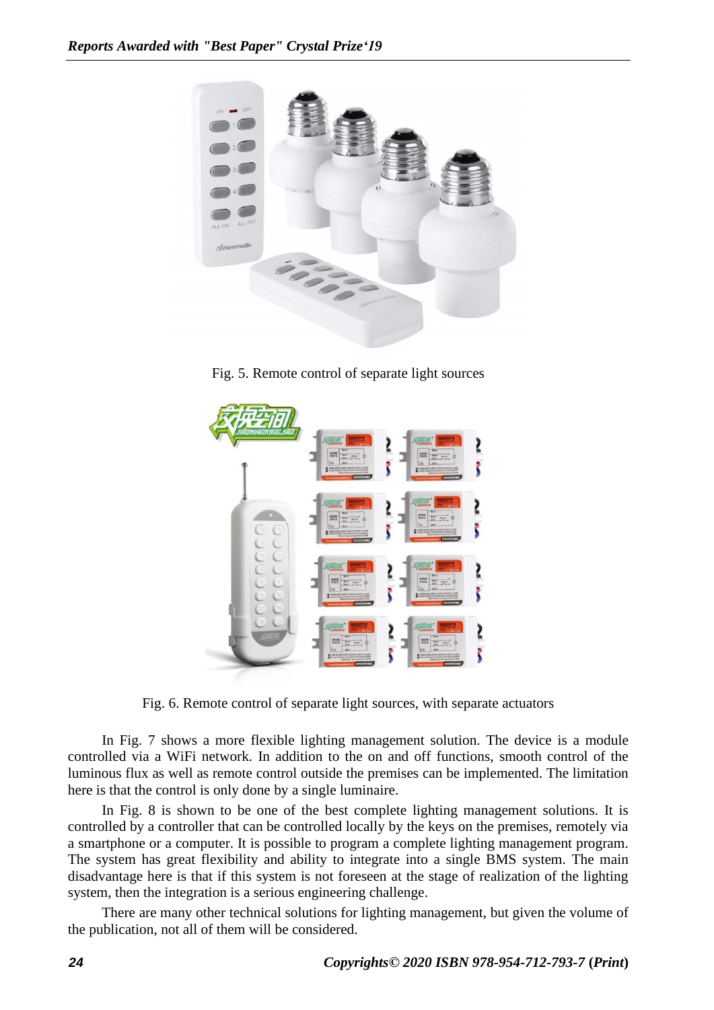

Fig. 5. Remote control of separate light sources



Fig. 6. Remote control of separate light sources, with separate actuators

In Fig. 7 shows a more flexible lighting management solution. The device is a module controlled via a WiFi network. In addition to the on and off functions, smooth control of the luminous flux as well as remote control outside the premises can be implemented. The limitation here is that the control is only done by a single luminaire.

In Fig. 8 is shown to be one of the best complete lighting management solutions. It is controlled by a controller that can be controlled locally by the keys on the premises, remotely via a smartphone or a computer. It is possible to program a complete lighting management program. The system has great flexibility and ability to integrate into a single BMS system. The main disadvantage here is that if this system is not foreseen at the stage of realization of the lighting system, then the integration is a serious engineering challenge.

There are many other technical solutions for lighting management, but given the volume of the publication, not all of them will be considered.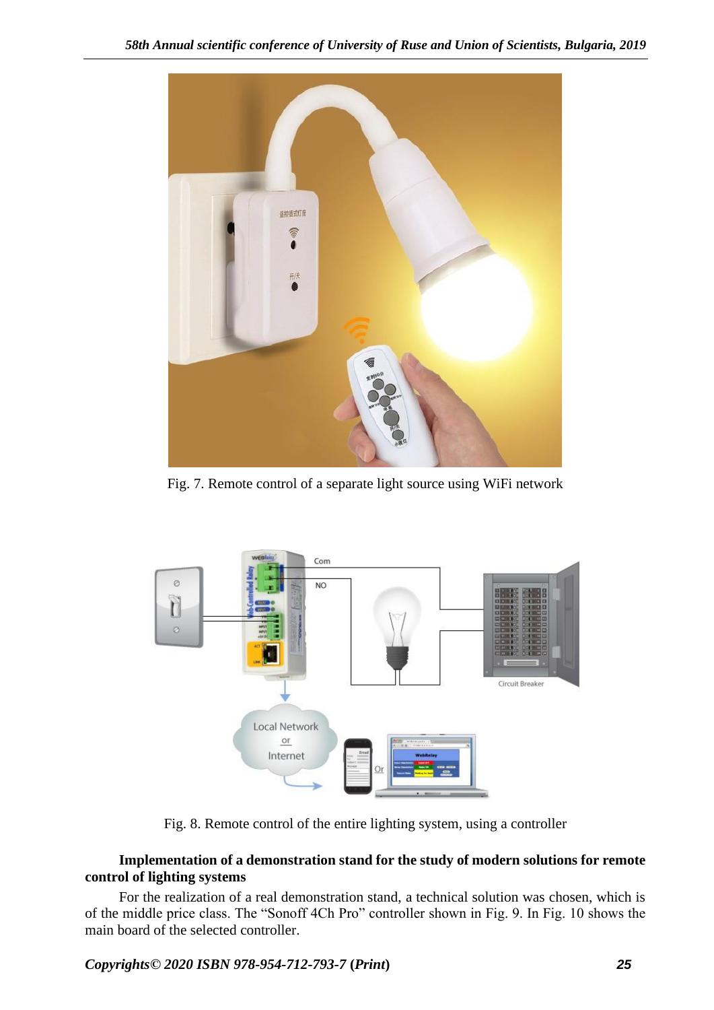

Fig. 7. Remote control of a separate light source using WiFi network



Fig. 8. Remote control of the entire lighting system, using a controller

# **Implementation of a demonstration stand for the study of modern solutions for remote control of lighting systems**

For the realization of a real demonstration stand, a technical solution was chosen, which is of the middle price class. The "Sonoff 4Ch Pro" controller shown in Fig. 9. In Fig. 10 shows the main board of the selected controller.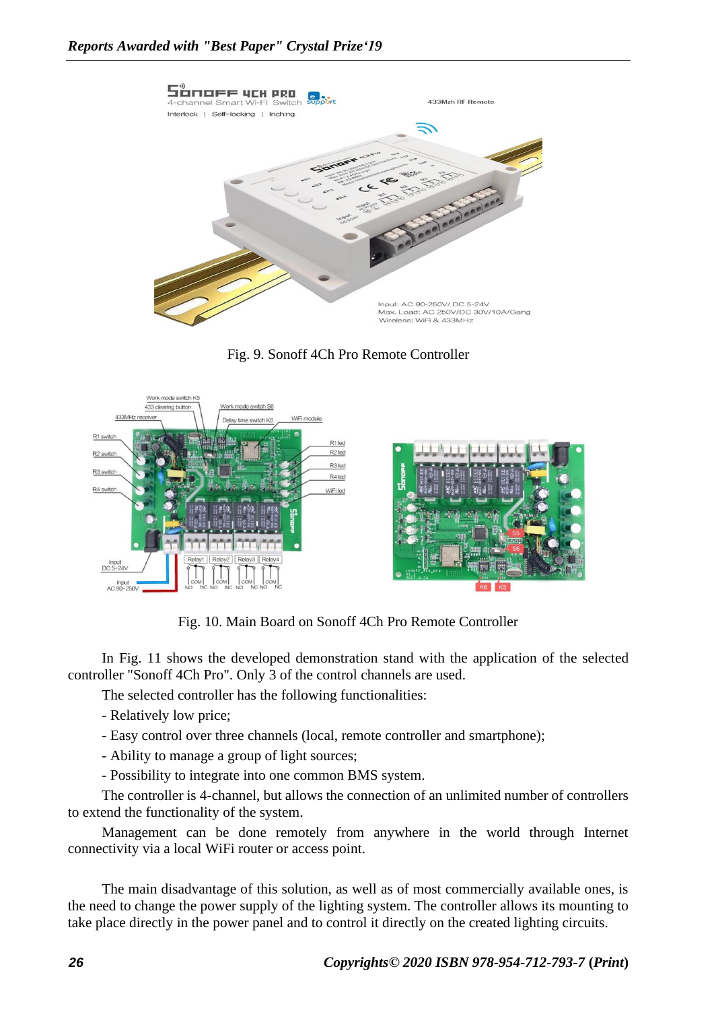

Fig. 9. Sonoff 4Ch Pro Remote Controller



Fig. 10. Main Board on Sonoff 4Ch Pro Remote Controller

In Fig. 11 shows the developed demonstration stand with the application of the selected controller "Sonoff 4Ch Pro". Only 3 of the control channels are used.

The selected controller has the following functionalities:

- Relatively low price;
- Easy control over three channels (local, remote controller and smartphone);
- Ability to manage a group of light sources;
- Possibility to integrate into one common BMS system.

The controller is 4-channel, but allows the connection of an unlimited number of controllers to extend the functionality of the system.

Management can be done remotely from anywhere in the world through Internet connectivity via a local WiFi router or access point.

The main disadvantage of this solution, as well as of most commercially available ones, is the need to change the power supply of the lighting system. The controller allows its mounting to take place directly in the power panel and to control it directly on the created lighting circuits.